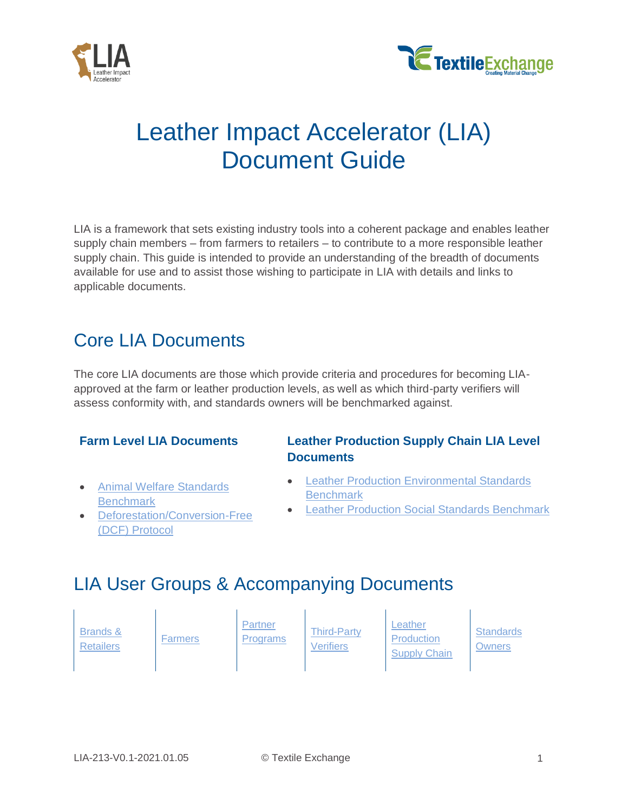



# Leather Impact Accelerator (LIA) Document Guide

LIA is a framework that sets existing industry tools into a coherent package and enables leather supply chain members – from farmers to retailers – to contribute to a more responsible leather supply chain. This guide is intended to provide an understanding of the breadth of documents available for use and to assist those wishing to participate in LIA with details and links to applicable documents.

## <span id="page-0-0"></span>Core LIA Documents

The core LIA documents are those which provide criteria and procedures for becoming LIAapproved at the farm or leather production levels, as well as which third-party verifiers will assess conformity with, and standards owners will be benchmarked against.

- [Animal Welfare Standards](https://textileexchange.org/documents/lia-animal-welfare-standards-benchmark/)  **[Benchmark](https://textileexchange.org/documents/lia-animal-welfare-standards-benchmark/)**
- [Deforestation/Conversion-Free](https://textileexchange.org/documents/lia-dcf-protocol/)  [\(DCF\) Protocol](https://textileexchange.org/documents/lia-dcf-protocol/)

### **Farm Level LIA Documents Leather Production Supply Chain LIA Level Documents**

- **Leather Production Environmental Standards [Benchmark](https://textileexchange.org/documents/lia-leather-production-environmental-standards-benchmark/)**
- **[Leather Production Social Standards Benchmark](https://textileexchange.org/documents/lia-leather-production-social-standards-benchmark/)**

## LIA User Groups & Accompanying Documents

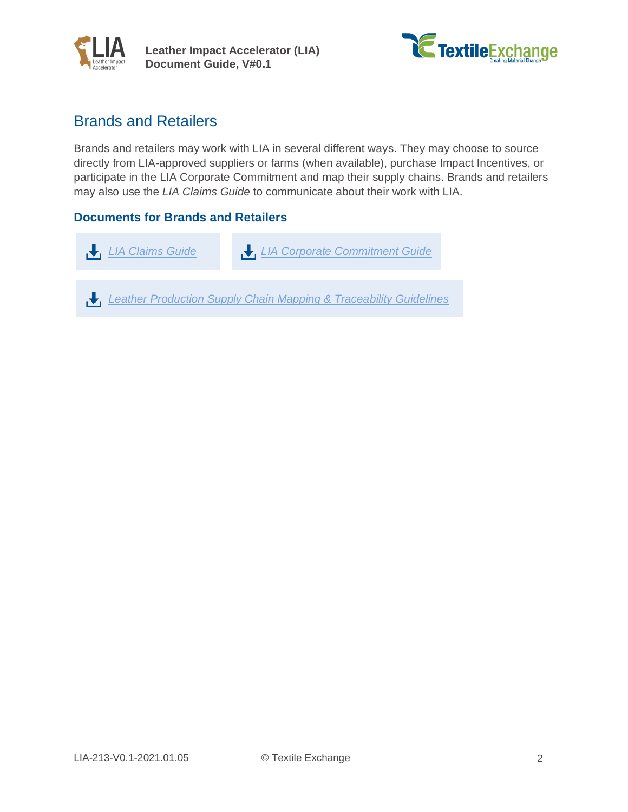<span id="page-1-0"></span>



## Brands and Retailers

Brands and retailers may work with LIA in several different ways. They may choose to source directly from LIA-approved suppliers or farms (when available), purchase Impact Incentives, or participate in the LIA Corporate Commitment and map their supply chains. Brands and retailers may also use the *LIA Claims Guide* to communicate about their work with LIA.

#### **Documents for Brands and Retailers**

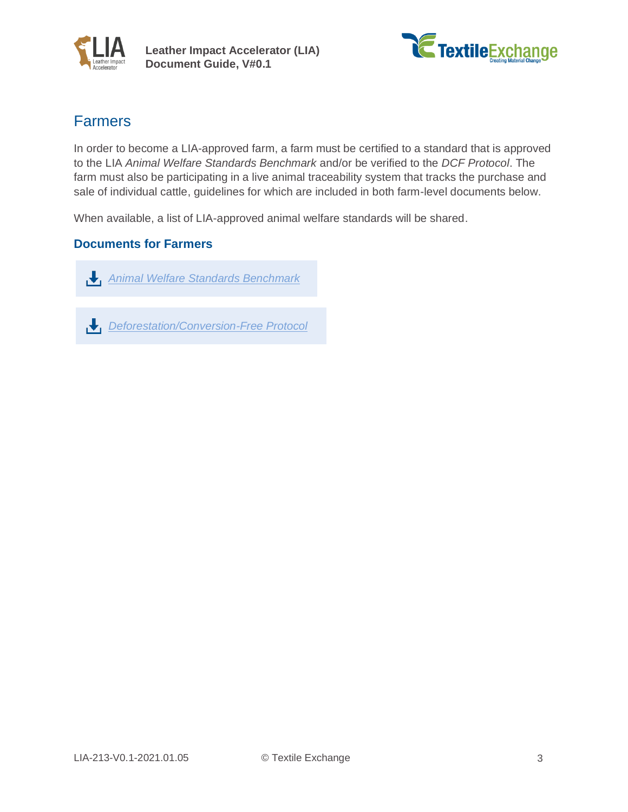<span id="page-2-0"></span>



## Farmers

In order to become a LIA-approved farm, a farm must be certified to a standard that is approved to the LIA *Animal Welfare Standards Benchmark* and/or be verified to the *DCF Protocol*. The farm must also be participating in a live animal traceability system that tracks the purchase and sale of individual cattle, guidelines for which are included in both farm-level documents below.

When available, a list of LIA-approved animal welfare standards will be shared.

#### **Documents for Farmers**

 *[Animal Welfare Standards Benchmark](https://textileexchange.org/documents/lia-animal-welfare-standards-benchmark/)*



 *[Deforestation/Conversion-Free Protocol](https://textileexchange.org/documents/lia-dcf-protocol/)*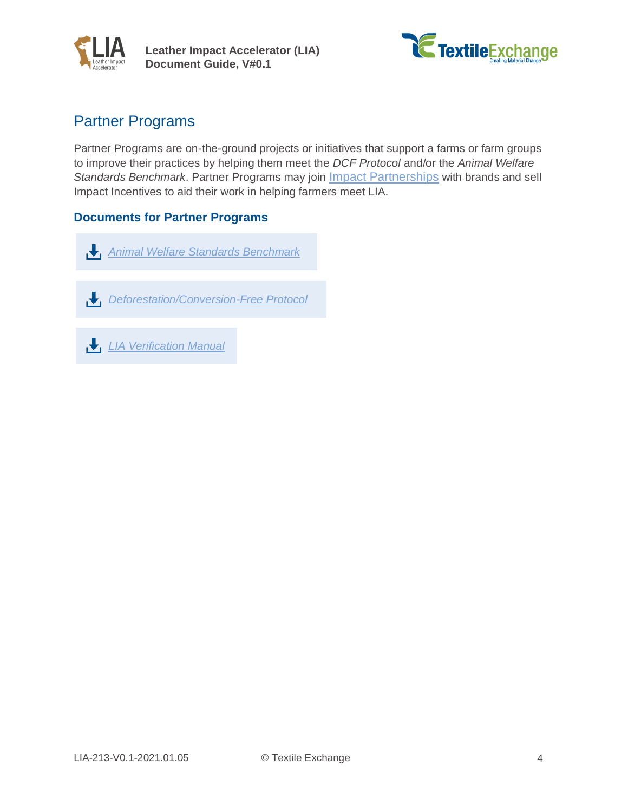<span id="page-3-0"></span>



## Partner Programs

Partner Programs are on-the-ground projects or initiatives that support a farms or farm groups to improve their practices by helping them meet the *DCF Protocol* and/or the *Animal Welfare Standards Benchmark*. Partner Programs may join [Impact Partnerships](https://impactincentives.org/what-we-do/) with brands and sell Impact Incentives to aid their work in helping farmers meet LIA.

#### **Documents for Partner Programs**

 *[Animal Welfare Standards Benchmark](https://textileexchange.org/documents/lia-animal-welfare-standards-benchmark/)*

 *[Deforestation/Conversion-Free Protocol](https://textileexchange.org/documents/lia-dcf-protocol/)*

 *[LIA Verification Manual](https://textileexchange.org/documents/lia-verification-manual/)*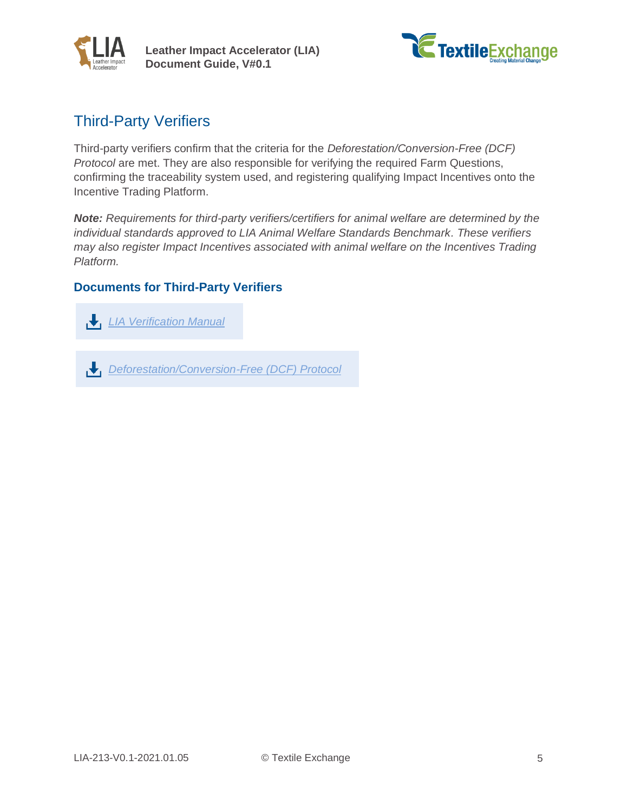<span id="page-4-0"></span>



## Third-Party Verifiers

Third-party verifiers confirm that the criteria for the *Deforestation/Conversion-Free (DCF) Protocol* are met. They are also responsible for verifying the required Farm Questions, confirming the traceability system used, and registering qualifying Impact Incentives onto the Incentive Trading Platform.

*Note: Requirements for third-party verifiers/certifiers for animal welfare are determined by the individual standards approved to LIA Animal Welfare Standards Benchmark. These verifiers may also register Impact Incentives associated with animal welfare on the Incentives Trading Platform.*

#### **Documents for Third-Party Verifiers**

 *[LIA Verification Manual](https://textileexchange.org/documents/lia-verification-manual/)*

 *[Deforestation/Conversion-Free \(DCF\) Protocol](https://textileexchange.org/documents/lia-dcf-protocol/)*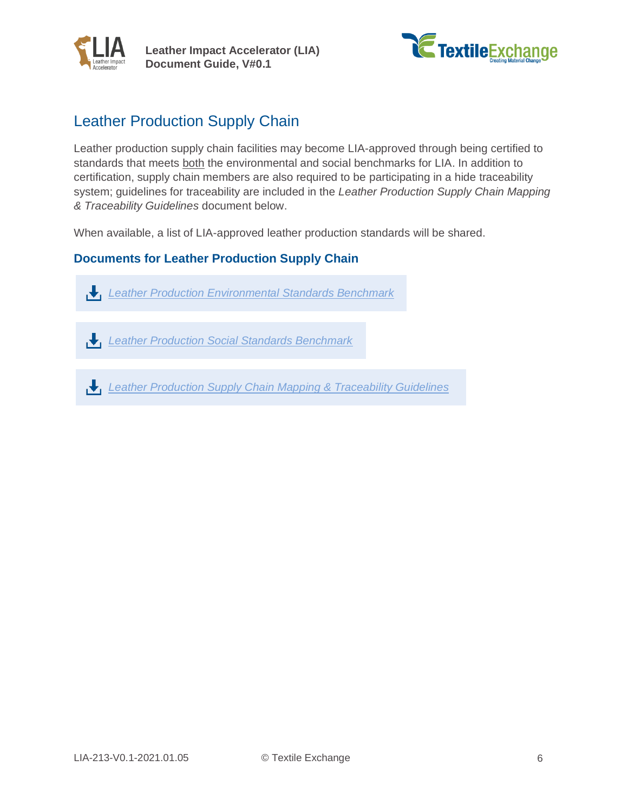<span id="page-5-0"></span>



## Leather Production Supply Chain

Leather production supply chain facilities may become LIA-approved through being certified to standards that meets both the environmental and social benchmarks for LIA. In addition to certification, supply chain members are also required to be participating in a hide traceability system; guidelines for traceability are included in the *Leather Production Supply Chain Mapping & Traceability Guidelines* document below.

When available, a list of LIA-approved leather production standards will be shared.

#### **Documents for Leather Production Supply Chain**

 *[Leather Production Environmental Standards Benchmark](https://textileexchange.org/documents/lia-leather-production-environmental-standards-benchmark/)*

- *[Leather Production Social Standards Benchmark](https://textileexchange.org/documents/lia-leather-production-social-standards-benchmark/)*
- *[Leather Production Supply Chain Mapping & Traceability Guidelines](https://textileexchange.org/documents/lia-supply-chain-mapping-and-traceability-guidelines/)*